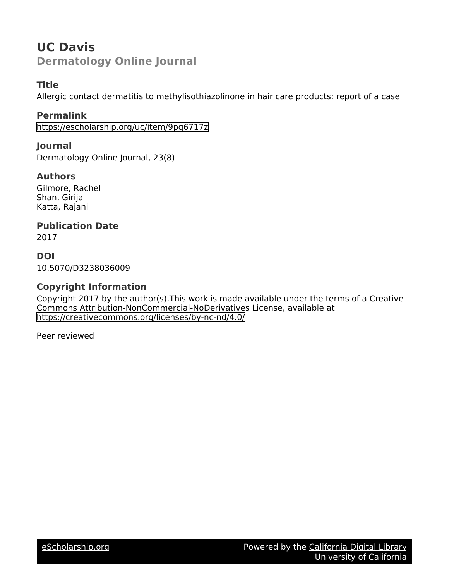## **UC Davis Dermatology Online Journal**

## **Title**

Allergic contact dermatitis to methylisothiazolinone in hair care products: report of a case

## **Permalink**

<https://escholarship.org/uc/item/9pq6717z>

## **Journal**

Dermatology Online Journal, 23(8)

## **Authors**

Gilmore, Rachel Shan, Girija Katta, Rajani

## **Publication Date**

2017

**DOI** 10.5070/D3238036009

## **Copyright Information**

Copyright 2017 by the author(s).This work is made available under the terms of a Creative Commons Attribution-NonCommercial-NoDerivatives License, available at <https://creativecommons.org/licenses/by-nc-nd/4.0/>

Peer reviewed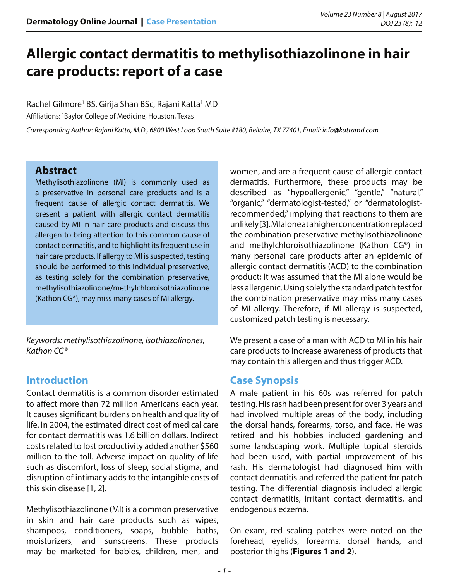# **Allergic contact dermatitis to methylisothiazolinone in hair care products: report of a case**

Rachel Gilmore<sup>1</sup> BS, Girija Shan BSc, Rajani Katta<sup>1</sup> MD

Affiliations: 1 Baylor College of Medicine, Houston, Texas

*Corresponding Author: Rajani Katta, M.D., 6800 West Loop South Suite #180, Bellaire, TX 77401, Email: info@kattamd.com*

#### **Abstract**

Methylisothiazolinone (MI) is commonly used as a preservative in personal care products and is a frequent cause of allergic contact dermatitis. We present a patient with allergic contact dermatitis caused by MI in hair care products and discuss this allergen to bring attention to this common cause of contact dermatitis, and to highlight its frequent use in hair care products. If allergy to MI is suspected, testing should be performed to this individual preservative, as testing solely for the combination preservative, methylisothiazolinone/methylchloroisothiazolinone (Kathon CG®), may miss many cases of MI allergy.

*Keywords: methylisothiazolinone, isothiazolinones, Kathon CG®*

## **Introduction**

Contact dermatitis is a common disorder estimated to affect more than 72 million Americans each year. It causes significant burdens on health and quality of life. In 2004, the estimated direct cost of medical care for contact dermatitis was 1.6 billion dollars. Indirect costs related to lost productivity added another \$560 million to the toll. Adverse impact on quality of life such as discomfort, loss of sleep, social stigma, and disruption of intimacy adds to the intangible costs of this skin disease [1, 2].

Methylisothiazolinone (MI) is a common preservative in skin and hair care products such as wipes, shampoos, conditioners, soaps, bubble baths, moisturizers, and sunscreens. These products may be marketed for babies, children, men, and

women, and are a frequent cause of allergic contact dermatitis. Furthermore, these products may be described as "hypoallergenic," "gentle," "natural," "organic," "dermatologist-tested," or "dermatologistrecommended," implying that reactions to them are unlikely [3]. MI alone at a higher concentration replaced the combination preservative methylisothiazolinone and methylchloroisothiazolinone (Kathon CG®) in many personal care products after an epidemic of allergic contact dermatitis (ACD) to the combination product; it was assumed that the MI alone would be less allergenic. Using solely the standard patch test for the combination preservative may miss many cases of MI allergy. Therefore, if MI allergy is suspected, customized patch testing is necessary.

We present a case of a man with ACD to MI in his hair care products to increase awareness of products that may contain this allergen and thus trigger ACD.

## **Case Synopsis**

A male patient in his 60s was referred for patch testing. His rash had been present for over 3 years and had involved multiple areas of the body, including the dorsal hands, forearms, torso, and face. He was retired and his hobbies included gardening and some landscaping work. Multiple topical steroids had been used, with partial improvement of his rash. His dermatologist had diagnosed him with contact dermatitis and referred the patient for patch testing. The differential diagnosis included allergic contact dermatitis, irritant contact dermatitis, and endogenous eczema.

On exam, red scaling patches were noted on the forehead, eyelids, forearms, dorsal hands, and posterior thighs (**Figures 1 and 2**).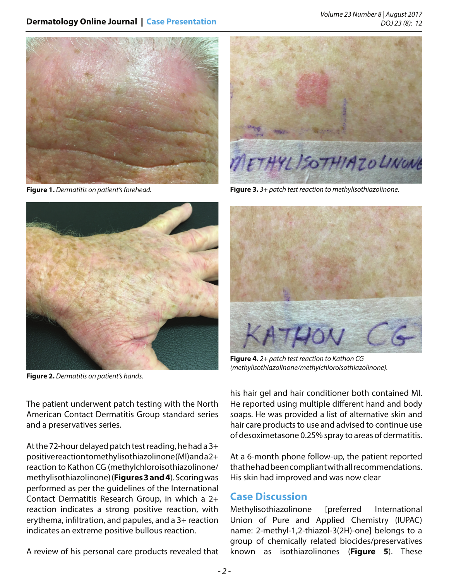#### **Dermatology Online Journal** || **Case Presentation**

*Volume 23 Number 8 | August 2017 DOJ 23 (8): 12*



**Figure 1.** *Dermatitis on patient's forehead.*



**Figure 2.** *Dermatitis on patient's hands.*



**Figure 3.** *3+ patch test reaction to methylisothiazolinone.*



**Figure 4.** *2+ patch test reaction to Kathon CG (methylisothiazolinone/methylchloroisothiazolinone).*

The patient underwent patch testing with the North American Contact Dermatitis Group standard series and a preservatives series.

At the 72-hour delayed patch test reading, he had a 3+ positive reaction to methylisothiazolinone (MI) and a 2+ reaction to Kathon CG (methylchloroisothiazolinone/ methylisothiazolinone) (**Figures 3 and 4**). Scoring was performed as per the guidelines of the International Contact Dermatitis Research Group, in which a 2+ reaction indicates a strong positive reaction, with erythema, infiltration, and papules, and a 3+ reaction indicates an extreme positive bullous reaction.

A review of his personal care products revealed that

his hair gel and hair conditioner both contained MI. He reported using multiple different hand and body soaps. He was provided a list of alternative skin and hair care products to use and advised to continue use of desoximetasone 0.25% spray to areas of dermatitis.

At a 6-month phone follow-up, the patient reported that he had been compliant with all recommendations. His skin had improved and was now clear

#### **Case Discussion**

Methylisothiazolinone [preferred International Union of Pure and Applied Chemistry (IUPAC) name: 2-methyl-1,2-thiazol-3(2H)-one] belongs to a group of chemically related biocides/preservatives known as isothiazolinones (**Figure 5**). These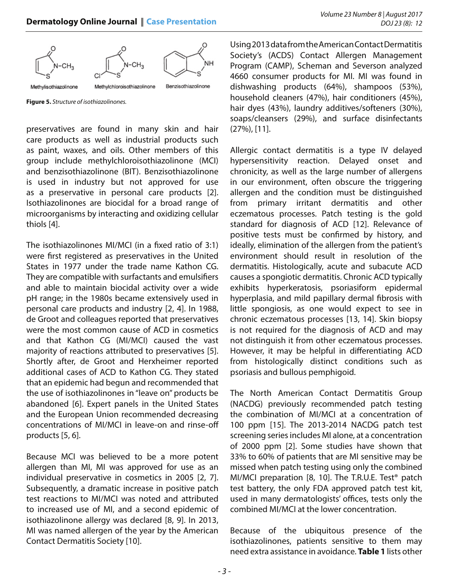

**Figure 5.** *Structure of isothiazolinones.*

preservatives are found in many skin and hair care products as well as industrial products such as paint, waxes, and oils. Other members of this group include methylchloroisothiazolinone (MCI) and benzisothiazolinone (BIT). Benzisothiazolinone is used in industry but not approved for use as a preservative in personal care products [2]. Isothiazolinones are biocidal for a broad range of microorganisms by interacting and oxidizing cellular thiols [4].

The isothiazolinones MI/MCI (in a fixed ratio of 3:1) were first registered as preservatives in the United States in 1977 under the trade name Kathon CG. They are compatible with surfactants and emulsifiers and able to maintain biocidal activity over a wide pH range; in the 1980s became extensively used in personal care products and industry [2, 4]. In 1988, de Groot and colleagues reported that preservatives were the most common cause of ACD in cosmetics and that Kathon CG (MI/MCI) caused the vast majority of reactions attributed to preservatives [5]. Shortly after, de Groot and Herxheimer reported additional cases of ACD to Kathon CG. They stated that an epidemic had begun and recommended that the use of isothiazolinones in "leave on" products be abandoned [6]. Expert panels in the United States and the European Union recommended decreasing concentrations of MI/MCI in leave-on and rinse-off products [5, 6].

Because MCI was believed to be a more potent allergen than MI, MI was approved for use as an individual preservative in cosmetics in 2005 [2, 7]. Subsequently, a dramatic increase in positive patch test reactions to MI/MCI was noted and attributed to increased use of MI, and a second epidemic of isothiazolinone allergy was declared [8, 9]. In 2013, MI was named allergen of the year by the American Contact Dermatitis Society [10].

Using 2013 data from the American Contact Dermatitis Society's (ACDS) Contact Allergen Management Program (CAMP), Scheman and Severson analyzed 4660 consumer products for MI. MI was found in dishwashing products (64%), shampoos (53%), household cleaners (47%), hair conditioners (45%), hair dyes (43%), laundry additives/softeners (30%), soaps/cleansers (29%), and surface disinfectants (27%), [11].

Allergic contact dermatitis is a type IV delayed hypersensitivity reaction. Delayed onset and chronicity, as well as the large number of allergens in our environment, often obscure the triggering allergen and the condition must be distinguished from primary irritant dermatitis and other eczematous processes. Patch testing is the gold standard for diagnosis of ACD [12]. Relevance of positive tests must be confirmed by history, and ideally, elimination of the allergen from the patient's environment should result in resolution of the dermatitis. Histologically, acute and subacute ACD causes a spongiotic dermatitis. Chronic ACD typically exhibits hyperkeratosis, psoriasiform epidermal hyperplasia, and mild papillary dermal fibrosis with little spongiosis, as one would expect to see in chronic eczematous processes [13, 14]. Skin biopsy is not required for the diagnosis of ACD and may not distinguish it from other eczematous processes. However, it may be helpful in differentiating ACD from histologically distinct conditions such as psoriasis and bullous pemphigoid.

The North American Contact Dermatitis Group (NACDG) previously recommended patch testing the combination of MI/MCI at a concentration of 100 ppm [15]. The 2013-2014 NACDG patch test screening series includes MI alone, at a concentration of 2000 ppm [2]. Some studies have shown that 33% to 60% of patients that are MI sensitive may be missed when patch testing using only the combined MI/MCI preparation [8, 10]. The T.R.U.E. Test® patch test battery, the only FDA approved patch test kit, used in many dermatologists' offices, tests only the combined MI/MCI at the lower concentration.

Because of the ubiquitous presence of the isothiazolinones, patients sensitive to them may need extra assistance in avoidance. **Table 1** lists other